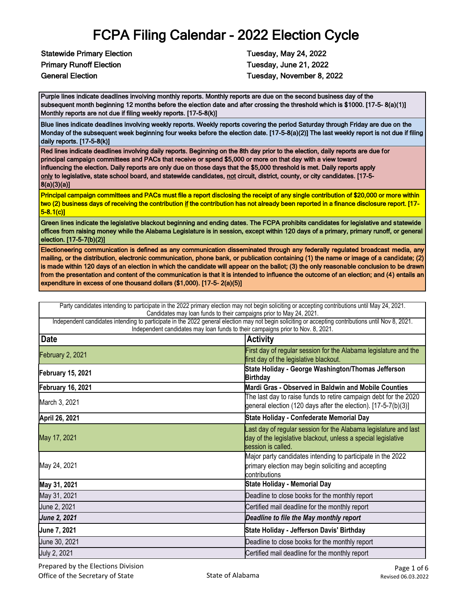Statewide Primary Election Tuesday, May 24, 2022 Primary Runoff Election Tuesday, June 21, 2022

General Election **Tuesday, November 8, 2022** 

Purple lines indicate deadlines involving monthly reports. Monthly reports are due on the second business day of the subsequent month beginning 12 months before the election date and after crossing the threshold which is \$1000. [17-5- 8(a)(1)] Monthly reports are not due if filing weekly reports. [17-5-8(k)]

Blue lines indicate deadlines involving weekly reports. Weekly reports covering the period Saturday through Friday are due on the Monday of the subsequent week beginning four weeks before the election date. [17-5-8(a)(2)] The last weekly report is not due if filing daily reports. [17-5-8(k)]

Red lines indicate deadlines involving daily reports. Beginning on the 8th day prior to the election, daily reports are due for principal campaign committees and PACs that receive or spend \$5,000 or more on that day with a view toward influencing the election. Daily reports are only due on those days that the \$5,000 threshold is met. Daily reports apply only to legislative, state school board, and statewide candidates, not circuit, district, county, or city candidates. [17-5-8(a)(3)(a)]

Principal campaign committees and PACs must file a report disclosing the receipt of any single contribution of \$20,000 or more within two (2) business days of receiving the contribution if the contribution has not already been reported in a finance disclosure report. [17-5-8.1(c)]

Green lines indicate the legislative blackout beginning and ending dates. The FCPA prohibits candidates for legislative and statewide offices from raising money while the Alabama Legislature is in session, except within 120 days of a primary, primary runoff, or general election. [17-5-7(b)(2)]

Electioneering communication is defined as any communication disseminated through any federally regulated broadcast media, any mailing, or the distribution, electronic communication, phone bank, or publication containing (1) the name or image of a candidate; (2) is made within 120 days of an election in which the candidate will appear on the ballot; (3) the only reasonable conclusion to be drawn from the presentation and content of the communication is that it is intended to influence the outcome of an election; and (4) entails an expenditure in excess of one thousand dollars (\$1,000). [17-5- 2(a)(5)]

|                          | Party candidates intending to participate in the 2022 primary election may not begin soliciting or accepting contributions until May 24, 2021.<br>Candidates may loan funds to their campaigns prior to May 24, 2021.                  |
|--------------------------|----------------------------------------------------------------------------------------------------------------------------------------------------------------------------------------------------------------------------------------|
|                          | Independent candidates intending to participate in the 2022 general election may not begin soliciting or accepting contributions until Nov 8, 2021.<br>Independent candidates may loan funds to their campaigns prior to Nov. 8, 2021. |
| <b>Date</b>              | <b>Activity</b>                                                                                                                                                                                                                        |
| February 2, 2021         | First day of regular session for the Alabama legislature and the<br>first day of the legislative blackout.                                                                                                                             |
| <b>February 15, 2021</b> | State Holiday - George Washington/Thomas Jefferson<br><b>Birthday</b>                                                                                                                                                                  |
| February 16, 2021        | Mardi Gras - Observed in Baldwin and Mobile Counties                                                                                                                                                                                   |
| March 3, 2021            | The last day to raise funds to retire campaign debt for the 2020<br>general election (120 days after the election). [17-5-7(b)(3)]                                                                                                     |
| April 26, 2021           | State Holiday - Confederate Memorial Day                                                                                                                                                                                               |
| May 17, 2021             | Last day of regular session for the Alabama legislature and last<br>day of the legislative blackout, unless a special legislative<br>session is called.                                                                                |
| May 24, 2021             | Major party candidates intending to participate in the 2022<br>primary election may begin soliciting and accepting<br>contributions                                                                                                    |
| May 31, 2021             | <b>State Holiday - Memorial Day</b>                                                                                                                                                                                                    |
| May 31, 2021             | Deadline to close books for the monthly report                                                                                                                                                                                         |
| June 2, 2021             | Certified mail deadline for the monthly report                                                                                                                                                                                         |
| <b>June 2, 2021</b>      | Deadline to file the May monthly report                                                                                                                                                                                                |
| June 7, 2021             | State Holiday - Jefferson Davis' Birthday                                                                                                                                                                                              |
| June 30, 2021            | Deadline to close books for the monthly report                                                                                                                                                                                         |
| July 2, 2021             | Certified mail deadline for the monthly report                                                                                                                                                                                         |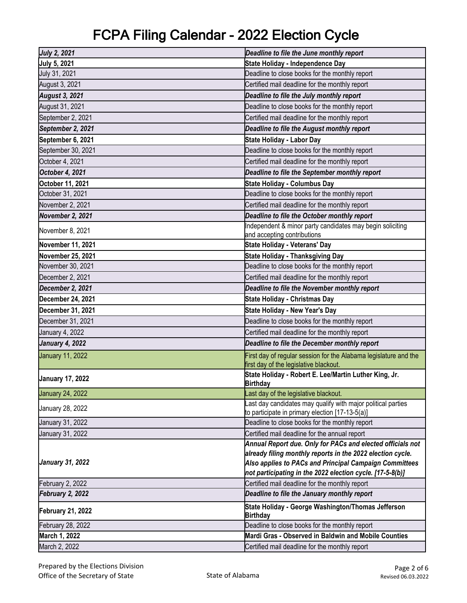| <b>July 2, 2021</b>      | Deadline to file the June monthly report                                                                        |
|--------------------------|-----------------------------------------------------------------------------------------------------------------|
| <b>July 5, 2021</b>      | State Holiday - Independence Day                                                                                |
| July 31, 2021            | Deadline to close books for the monthly report                                                                  |
| August 3, 2021           | Certified mail deadline for the monthly report                                                                  |
| <b>August 3, 2021</b>    | Deadline to file the July monthly report                                                                        |
| August 31, 2021          | Deadline to close books for the monthly report                                                                  |
| September 2, 2021        | Certified mail deadline for the monthly report                                                                  |
| September 2, 2021        | Deadline to file the August monthly report                                                                      |
| September 6, 2021        | State Holiday - Labor Day                                                                                       |
| September 30, 2021       | Deadline to close books for the monthly report                                                                  |
| October 4, 2021          | Certified mail deadline for the monthly report                                                                  |
| October 4, 2021          | Deadline to file the September monthly report                                                                   |
| October 11, 2021         | <b>State Holiday - Columbus Day</b>                                                                             |
| October 31, 2021         | Deadline to close books for the monthly report                                                                  |
| November 2, 2021         | Certified mail deadline for the monthly report                                                                  |
| November 2, 2021         | Deadline to file the October monthly report                                                                     |
| November 8, 2021         | Independent & minor party candidates may begin soliciting<br>and accepting contributions                        |
| November 11, 2021        | State Holiday - Veterans' Day                                                                                   |
| November 25, 2021        | <b>State Holiday - Thanksgiving Day</b>                                                                         |
| November 30, 2021        | Deadline to close books for the monthly report                                                                  |
| December 2, 2021         | Certified mail deadline for the monthly report                                                                  |
| December 2, 2021         | Deadline to file the November monthly report                                                                    |
| December 24, 2021        | <b>State Holiday - Christmas Day</b>                                                                            |
| December 31, 2021        | <b>State Holiday - New Year's Day</b>                                                                           |
| December 31, 2021        | Deadline to close books for the monthly report                                                                  |
| January 4, 2022          | Certified mail deadline for the monthly report                                                                  |
| <b>January 4, 2022</b>   | Deadline to file the December monthly report                                                                    |
| <b>January 11, 2022</b>  | First day of regular session for the Alabama legislature and the<br>first day of the legislative blackout.      |
| <b>January 17, 2022</b>  | State Holiday - Robert E. Lee/Martin Luther King, Jr.<br><b>Birthday</b>                                        |
| <b>January 24, 2022</b>  | Last day of the legislative blackout.                                                                           |
| January 28, 2022         | Last day candidates may qualify with major political parties<br>to participate in primary election [17-13-5(a)] |
| January 31, 2022         | Deadline to close books for the monthly report                                                                  |
| January 31, 2022         | Certified mail deadline for the annual report                                                                   |
|                          | Annual Report due. Only for PACs and elected officials not                                                      |
|                          | already filing monthly reports in the 2022 election cycle.                                                      |
| <b>January 31, 2022</b>  | Also applies to PACs and Principal Campaign Committees                                                          |
|                          | not participating in the 2022 election cycle. [17-5-8(b)]                                                       |
| February 2, 2022         | Certified mail deadline for the monthly report                                                                  |
| February 2, 2022         | Deadline to file the January monthly report                                                                     |
| <b>February 21, 2022</b> | State Holiday - George Washington/Thomas Jefferson<br><b>Birthday</b>                                           |
| February 28, 2022        | Deadline to close books for the monthly report                                                                  |
| March 1, 2022            | Mardi Gras - Observed in Baldwin and Mobile Counties                                                            |
| March 2, 2022            | Certified mail deadline for the monthly report                                                                  |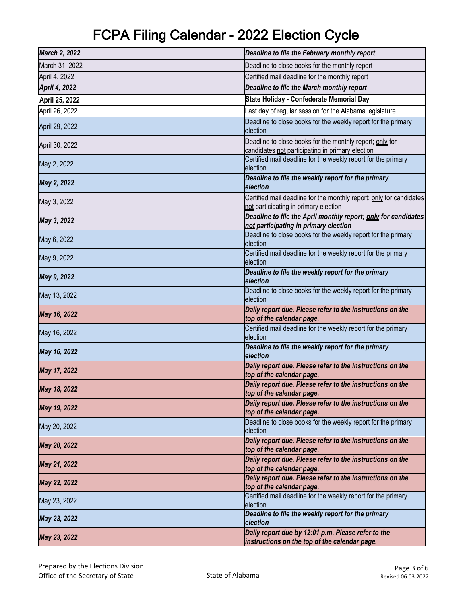| March 2, 2022        | Deadline to file the February monthly report                                                                 |
|----------------------|--------------------------------------------------------------------------------------------------------------|
| March 31, 2022       | Deadline to close books for the monthly report                                                               |
| April 4, 2022        | Certified mail deadline for the monthly report                                                               |
| <b>April 4, 2022</b> | Deadline to file the March monthly report                                                                    |
| April 25, 2022       | State Holiday - Confederate Memorial Day                                                                     |
| April 26, 2022       | Last day of regular session for the Alabama legislature.                                                     |
| April 29, 2022       | Deadline to close books for the weekly report for the primary<br>election                                    |
| April 30, 2022       | Deadline to close books for the monthly report; only for<br>candidates not participating in primary election |
| May 2, 2022          | Certified mail deadline for the weekly report for the primary<br>election                                    |
| May 2, 2022          | Deadline to file the weekly report for the primary<br>election                                               |
| May 3, 2022          | Certified mail deadline for the monthly report; only for candidates<br>not participating in primary election |
| May 3, 2022          | Deadline to file the April monthly report; only for candidates<br>not participating in primary election      |
| May 6, 2022          | Deadline to close books for the weekly report for the primary<br>election                                    |
| May 9, 2022          | Certified mail deadline for the weekly report for the primary<br>election                                    |
| May 9, 2022          | Deadline to file the weekly report for the primary<br>election                                               |
| May 13, 2022         | Deadline to close books for the weekly report for the primary<br>election                                    |
| May 16, 2022         | Daily report due. Please refer to the instructions on the<br>top of the calendar page.                       |
| May 16, 2022         | Certified mail deadline for the weekly report for the primary<br>election                                    |
| May 16, 2022         | Deadline to file the weekly report for the primary<br>election                                               |
| May 17, 2022         | Daily report due. Please refer to the instructions on the<br>top of the calendar page.                       |
| May 18, 2022         | Daily report due. Please refer to the instructions on the<br>top of the calendar page.                       |
| May 19, 2022         | Daily report due. Please refer to the instructions on the<br>top of the calendar page.                       |
| May 20, 2022         | Deadline to close books for the weekly report for the primary<br>election                                    |
| May 20, 2022         | Daily report due. Please refer to the instructions on the<br>top of the calendar page.                       |
| May 21, 2022         | Daily report due. Please refer to the instructions on the<br>top of the calendar page.                       |
| May 22, 2022         | Daily report due. Please refer to the instructions on the<br>top of the calendar page.                       |
| May 23, 2022         | Certified mail deadline for the weekly report for the primary<br>election                                    |
| May 23, 2022         | Deadline to file the weekly report for the primary<br>election                                               |
| May 23, 2022         | Daily report due by 12:01 p.m. Please refer to the<br>instructions on the top of the calendar page.          |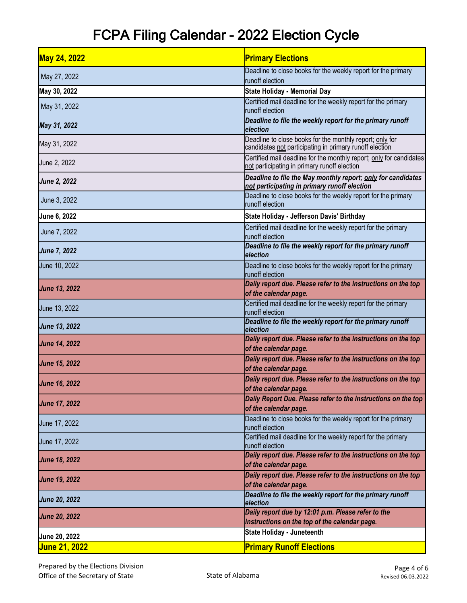| <b>May 24, 2022</b>  | <b>Primary Elections</b>                                                                                            |
|----------------------|---------------------------------------------------------------------------------------------------------------------|
| May 27, 2022         | Deadline to close books for the weekly report for the primary<br>runoff election                                    |
| May 30, 2022         | <b>State Holiday - Memorial Day</b>                                                                                 |
| May 31, 2022         | Certified mail deadline for the weekly report for the primary<br>runoff election                                    |
| May 31, 2022         | Deadline to file the weekly report for the primary runoff<br>election                                               |
| May 31, 2022         | Deadline to close books for the monthly report; only for<br>candidates not participating in primary runoff election |
| June 2, 2022         | Certified mail deadline for the monthly report; only for candidates<br>not participating in primary runoff election |
| <b>June 2, 2022</b>  | Deadline to file the May monthly report; only for candidates<br>not participating in primary runoff election        |
| June 3, 2022         | Deadline to close books for the weekly report for the primary<br>runoff election                                    |
| June 6, 2022         | State Holiday - Jefferson Davis' Birthday                                                                           |
| June 7, 2022         | Certified mail deadline for the weekly report for the primary<br>runoff election                                    |
| <b>June 7, 2022</b>  | Deadline to file the weekly report for the primary runoff<br>election                                               |
| June 10, 2022        | Deadline to close books for the weekly report for the primary<br>runoff election                                    |
| <b>June 13, 2022</b> | Daily report due. Please refer to the instructions on the top<br>of the calendar page.                              |
| June 13, 2022        | Certified mail deadline for the weekly report for the primary<br>runoff election                                    |
| June 13, 2022        | Deadline to file the weekly report for the primary runoff<br>election                                               |
| <b>June 14, 2022</b> | Daily report due. Please refer to the instructions on the top<br>of the calendar page.                              |
| <b>June 15, 2022</b> | Daily report due. Please refer to the instructions on the top<br>of the calendar page.                              |
| <b>June 16, 2022</b> | Daily report due. Please refer to the instructions on the top<br>of the calendar page.                              |
| <b>June 17, 2022</b> | Daily Report Due. Please refer to the instructions on the top<br>of the calendar page.                              |
| June 17, 2022        | Deadline to close books for the weekly report for the primary<br>runoff election                                    |
| June 17, 2022        | Certified mail deadline for the weekly report for the primary<br>runoff election                                    |
| <b>June 18, 2022</b> | Daily report due. Please refer to the instructions on the top<br>of the calendar page.                              |
| <b>June 19, 2022</b> | Daily report due. Please refer to the instructions on the top<br>of the calendar page.                              |
| <b>June 20, 2022</b> | Deadline to file the weekly report for the primary runoff<br>election                                               |
| <b>June 20, 2022</b> | Daily report due by 12:01 p.m. Please refer to the<br>instructions on the top of the calendar page.                 |
| June 20, 2022        | State Holiday - Juneteenth                                                                                          |
| <u>June 21, 2022</u> | <b>Primary Runoff Elections</b>                                                                                     |
|                      |                                                                                                                     |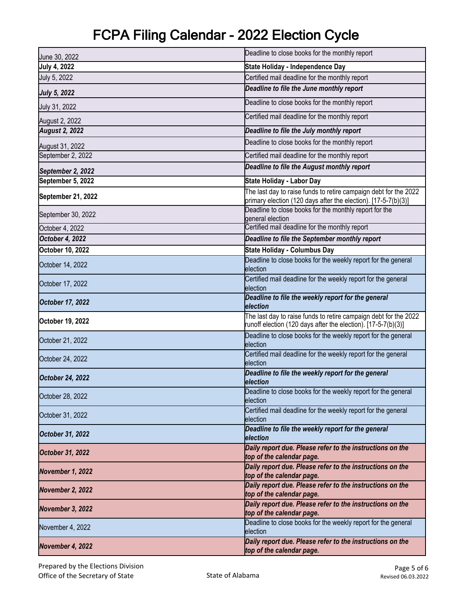| June 30, 2022         | Deadline to close books for the monthly report                                                                                     |
|-----------------------|------------------------------------------------------------------------------------------------------------------------------------|
| <b>July 4, 2022</b>   | State Holiday - Independence Day                                                                                                   |
| July 5, 2022          | Certified mail deadline for the monthly report                                                                                     |
| <b>July 5, 2022</b>   | Deadline to file the June monthly report                                                                                           |
| July 31, 2022         | Deadline to close books for the monthly report                                                                                     |
| August 2, 2022        | Certified mail deadline for the monthly report                                                                                     |
| <b>August 2, 2022</b> | Deadline to file the July monthly report                                                                                           |
| August 31, 2022       | Deadline to close books for the monthly report                                                                                     |
| September 2, 2022     | Certified mail deadline for the monthly report                                                                                     |
| September 2, 2022     | Deadline to file the August monthly report                                                                                         |
| September 5, 2022     | <b>State Holiday - Labor Day</b>                                                                                                   |
| September 21, 2022    | The last day to raise funds to retire campaign debt for the 2022<br>primary election (120 days after the election). [17-5-7(b)(3)] |
| September 30, 2022    | Deadline to close books for the monthly report for the<br>general election                                                         |
| October 4, 2022       | Certified mail deadline for the monthly report                                                                                     |
| October 4, 2022       | Deadline to file the September monthly report                                                                                      |
| October 10, 2022      | <b>State Holiday - Columbus Day</b>                                                                                                |
| October 14, 2022      | Deadline to close books for the weekly report for the general<br>election                                                          |
| October 17, 2022      | Certified mail deadline for the weekly report for the general<br>election                                                          |
| October 17, 2022      | Deadline to file the weekly report for the general                                                                                 |
|                       | election                                                                                                                           |
| October 19, 2022      | The last day to raise funds to retire campaign debt for the 2022<br>runoff election (120 days after the election). [17-5-7(b)(3)]  |
| October 21, 2022      | Deadline to close books for the weekly report for the general<br>election                                                          |
| October 24, 2022      | Certified mail deadline for the weekly report for the general<br>election                                                          |
| October 24, 2022      | Deadline to file the weekly report for the general<br>election                                                                     |
| October 28, 2022      | Deadline to close books for the weekly report for the general<br>election                                                          |
| October 31, 2022      | Certified mail deadline for the weekly report for the general<br>election                                                          |
| October 31, 2022      | Deadline to file the weekly report for the general<br>election                                                                     |
| October 31, 2022      | Daily report due. Please refer to the instructions on the<br>top of the calendar page.                                             |
| November 1, 2022      | Daily report due. Please refer to the instructions on the<br>top of the calendar page.                                             |
| November 2, 2022      | Daily report due. Please refer to the instructions on the<br>top of the calendar page.                                             |
| November 3, 2022      | Daily report due. Please refer to the instructions on the<br>top of the calendar page.                                             |
| November 4, 2022      | Deadline to close books for the weekly report for the general<br>election                                                          |